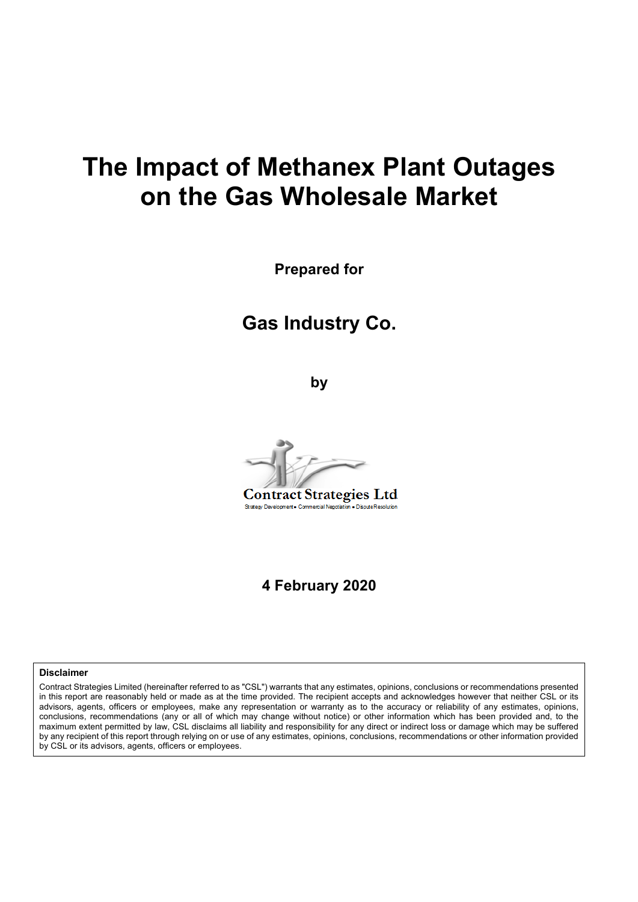# **The Impact of Methanex Plant Outages on the Gas Wholesale Market**

**Prepared for**

## **Gas Industry Co.**

**by**



**4 February 2020**

#### **Disclaimer**

Contract Strategies Limited (hereinafter referred to as "CSL") warrants that any estimates, opinions, conclusions or recommendations presented in this report are reasonably held or made as at the time provided. The recipient accepts and acknowledges however that neither CSL or its advisors, agents, officers or employees, make any representation or warranty as to the accuracy or reliability of any estimates, opinions, conclusions, recommendations (any or all of which may change without notice) or other information which has been provided and, to the maximum extent permitted by law, CSL disclaims all liability and responsibility for any direct or indirect loss or damage which may be suffered by any recipient of this report through relying on or use of any estimates, opinions, conclusions, recommendations or other information provided by CSL or its advisors, agents, officers or employees.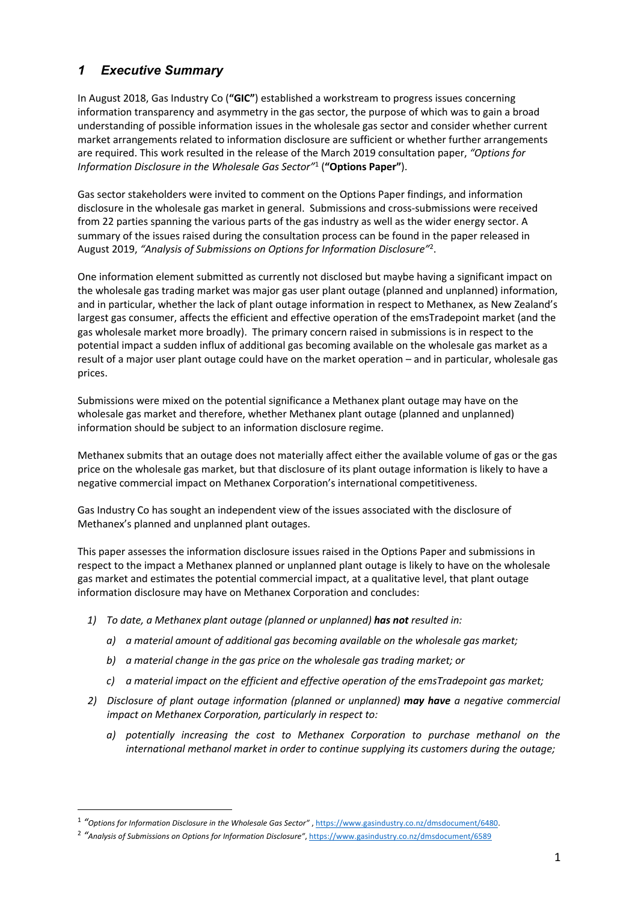## *1 Executive Summary*

In August 2018, Gas Industry Co (**"GIC"**) established a workstream to progress issues concerning information transparency and asymmetry in the gas sector, the purpose of which was to gain a broad understanding of possible information issues in the wholesale gas sector and consider whether current market arrangements related to information disclosure are sufficient or whether further arrangements are required. This work resulted in the release of the March 2019 consultation paper, *"Options for Information Disclosure in the Wholesale Gas Sector"*<sup>1</sup> (**"Options Paper"**).

Gas sector stakeholders were invited to comment on the Options Paper findings, and information disclosure in the wholesale gas market in general. Submissions and cross-submissions were received from 22 parties spanning the various parts of the gas industry as well as the wider energy sector. A summary of the issues raised during the consultation process can be found in the paper released in August 2019, *"Analysis of Submissions on Options for Information Disclosure"*<sup>2</sup> .

One information element submitted as currently not disclosed but maybe having a significant impact on the wholesale gas trading market was major gas user plant outage (planned and unplanned) information, and in particular, whether the lack of plant outage information in respect to Methanex, as New Zealand's largest gas consumer, affects the efficient and effective operation of the emsTradepoint market (and the gas wholesale market more broadly). The primary concern raised in submissions is in respect to the potential impact a sudden influx of additional gas becoming available on the wholesale gas market as a result of a major user plant outage could have on the market operation – and in particular, wholesale gas prices.

Submissions were mixed on the potential significance a Methanex plant outage may have on the wholesale gas market and therefore, whether Methanex plant outage (planned and unplanned) information should be subject to an information disclosure regime.

Methanex submits that an outage does not materially affect either the available volume of gas or the gas price on the wholesale gas market, but that disclosure of its plant outage information is likely to have a negative commercial impact on Methanex Corporation's international competitiveness.

Gas Industry Co has sought an independent view of the issues associated with the disclosure of Methanex's planned and unplanned plant outages.

This paper assesses the information disclosure issues raised in the Options Paper and submissions in respect to the impact a Methanex planned or unplanned plant outage is likely to have on the wholesale gas market and estimates the potential commercial impact, at a qualitative level, that plant outage information disclosure may have on Methanex Corporation and concludes:

- *1) To date, a Methanex plant outage (planned or unplanned) has not resulted in:*
	- *a) a material amount of additional gas becoming available on the wholesale gas market;*
	- *b) a material change in the gas price on the wholesale gas trading market; or*
	- *c) a material impact on the efficient and effective operation of the emsTradepoint gas market;*
- *2) Disclosure of plant outage information (planned or unplanned) may have a negative commercial impact on Methanex Corporation, particularly in respect to:* 
	- *a) potentially increasing the cost to Methanex Corporation to purchase methanol on the international methanol market in order to continue supplying its customers during the outage;*

<sup>1</sup> *"Options for Information Disclosure in the Wholesale Gas Sector"* , https://www.gasindustry.co.nz/dmsdocument/6480.

<sup>2</sup> *"Analysis of Submissions on Options for Information Disclosure"*, https://www.gasindustry.co.nz/dmsdocument/6589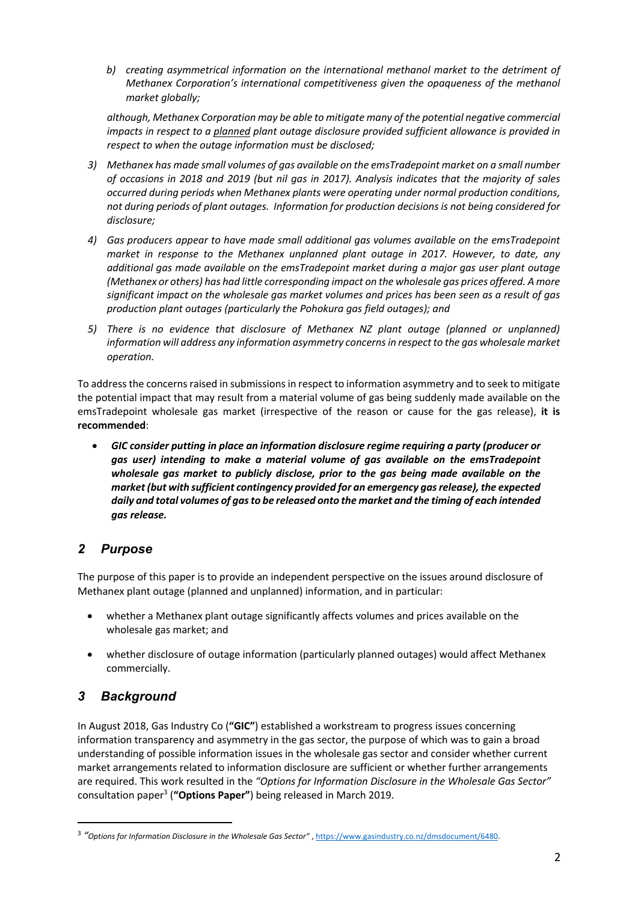*b) creating asymmetrical information on the international methanol market to the detriment of Methanex Corporation's international competitiveness given the opaqueness of the methanol market globally;* 

*although, Methanex Corporation may be able to mitigate many of the potential negative commercial impacts in respect to a planned plant outage disclosure provided sufficient allowance is provided in respect to when the outage information must be disclosed;*

- *3) Methanex has made small volumes of gas available on the emsTradepoint market on a small number of occasions in 2018 and 2019 (but nil gas in 2017). Analysis indicates that the majority of sales occurred during periods when Methanex plants were operating under normal production conditions, not during periods of plant outages. Information for production decisions is not being considered for disclosure;*
- *4) Gas producers appear to have made small additional gas volumes available on the emsTradepoint market in response to the Methanex unplanned plant outage in 2017. However, to date, any additional gas made available on the emsTradepoint market during a major gas user plant outage (Methanex or others) has had little corresponding impact on the wholesale gas prices offered. A more significant impact on the wholesale gas market volumes and prices has been seen as a result of gas production plant outages (particularly the Pohokura gas field outages); and*
- *5) There is no evidence that disclosure of Methanex NZ plant outage (planned or unplanned) information will address any information asymmetry concerns in respect to the gas wholesale market operation.*

To address the concerns raised in submissions in respect to information asymmetry and to seek to mitigate the potential impact that may result from a material volume of gas being suddenly made available on the emsTradepoint wholesale gas market (irrespective of the reason or cause for the gas release), **it is recommended**:

• *GIC consider putting in place an information disclosure regime requiring a party (producer or gas user) intending to make a material volume of gas available on the emsTradepoint wholesale gas market to publicly disclose, prior to the gas being made available on the market (but with sufficient contingency provided for an emergency gas release), the expected daily and total volumes of gas to be released onto the market and the timing of each intended gas release.*

## *2 Purpose*

The purpose of this paper is to provide an independent perspective on the issues around disclosure of Methanex plant outage (planned and unplanned) information, and in particular:

- whether a Methanex plant outage significantly affects volumes and prices available on the wholesale gas market; and
- whether disclosure of outage information (particularly planned outages) would affect Methanex commercially.

## *3 Background*

In August 2018, Gas Industry Co (**"GIC"**) established a workstream to progress issues concerning information transparency and asymmetry in the gas sector, the purpose of which was to gain a broad understanding of possible information issues in the wholesale gas sector and consider whether current market arrangements related to information disclosure are sufficient or whether further arrangements are required. This work resulted in the *"Options for Information Disclosure in the Wholesale Gas Sector"* consultation paper3 (**"Options Paper"**) being released in March 2019.

<sup>3</sup> *"Options for Information Disclosure in the Wholesale Gas Sector"* , https://www.gasindustry.co.nz/dmsdocument/6480.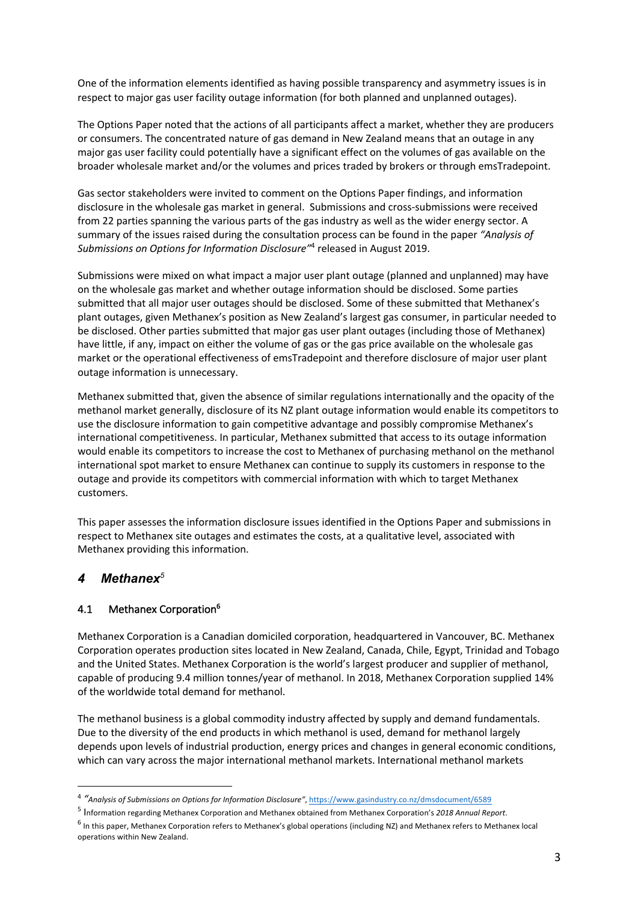One of the information elements identified as having possible transparency and asymmetry issues is in respect to major gas user facility outage information (for both planned and unplanned outages).

The Options Paper noted that the actions of all participants affect a market, whether they are producers or consumers. The concentrated nature of gas demand in New Zealand means that an outage in any major gas user facility could potentially have a significant effect on the volumes of gas available on the broader wholesale market and/or the volumes and prices traded by brokers or through emsTradepoint.

Gas sector stakeholders were invited to comment on the Options Paper findings, and information disclosure in the wholesale gas market in general. Submissions and cross-submissions were received from 22 parties spanning the various parts of the gas industry as well as the wider energy sector. A summary of the issues raised during the consultation process can be found in the paper *"Analysis of Submissions on Options for Information Disclosure"*<sup>4</sup> released in August 2019.

Submissions were mixed on what impact a major user plant outage (planned and unplanned) may have on the wholesale gas market and whether outage information should be disclosed. Some parties submitted that all major user outages should be disclosed. Some of these submitted that Methanex's plant outages, given Methanex's position as New Zealand's largest gas consumer, in particular needed to be disclosed. Other parties submitted that major gas user plant outages (including those of Methanex) have little, if any, impact on either the volume of gas or the gas price available on the wholesale gas market or the operational effectiveness of emsTradepoint and therefore disclosure of major user plant outage information is unnecessary.

Methanex submitted that, given the absence of similar regulations internationally and the opacity of the methanol market generally, disclosure of its NZ plant outage information would enable its competitors to use the disclosure information to gain competitive advantage and possibly compromise Methanex's international competitiveness. In particular, Methanex submitted that access to its outage information would enable its competitors to increase the cost to Methanex of purchasing methanol on the methanol international spot market to ensure Methanex can continue to supply its customers in response to the outage and provide its competitors with commercial information with which to target Methanex customers.

This paper assesses the information disclosure issues identified in the Options Paper and submissions in respect to Methanex site outages and estimates the costs, at a qualitative level, associated with Methanex providing this information.

## *4 Methanex<sup>5</sup>*

## 4.1 Methanex Corporation<sup>6</sup>

Methanex Corporation is a Canadian domiciled corporation, headquartered in Vancouver, BC. Methanex Corporation operates production sites located in New Zealand, Canada, Chile, Egypt, Trinidad and Tobago and the United States. Methanex Corporation is the world's largest producer and supplier of methanol, capable of producing 9.4 million tonnes/year of methanol. In 2018, Methanex Corporation supplied 14% of the worldwide total demand for methanol.

The methanol business is a global commodity industry affected by supply and demand fundamentals. Due to the diversity of the end products in which methanol is used, demand for methanol largely depends upon levels of industrial production, energy prices and changes in general economic conditions, which can vary across the major international methanol markets. International methanol markets

<sup>4</sup> *"Analysis of Submissions on Options for Information Disclosure"*, https://www.gasindustry.co.nz/dmsdocument/6589

<sup>5</sup> Information regarding Methanex Corporation and Methanex obtained from Methanex Corporation's *2018 Annual Report*.

 $^6$  In this paper, Methanex Corporation refers to Methanex's global operations (including NZ) and Methanex refers to Methanex local operations within New Zealand.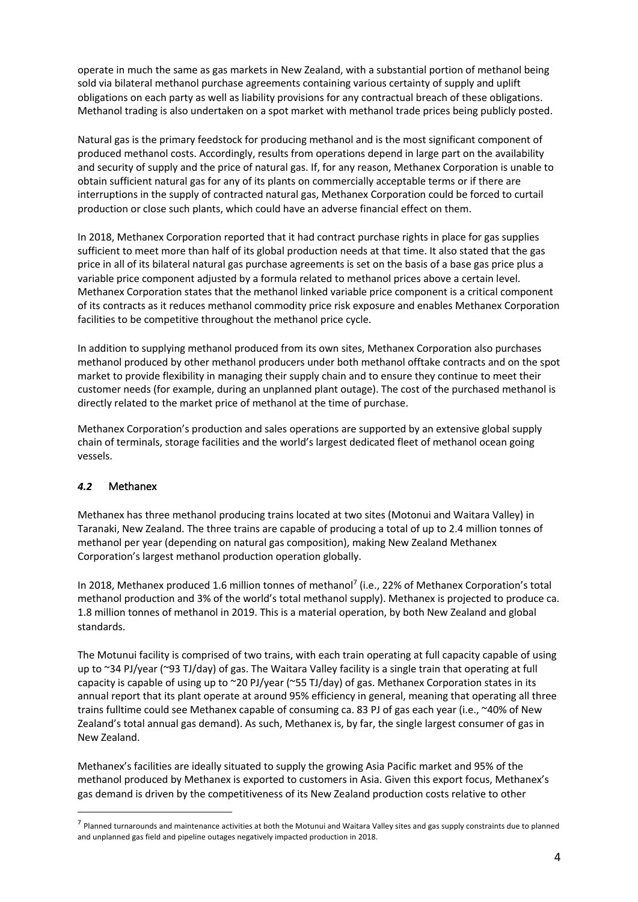operate in much the same as gas markets in New Zealand, with a substantial portion of methanol being sold via bilateral methanol purchase agreements containing various certainty of supply and uplift obligations on each party as well as liability provisions for any contractual breach of these obligations. Methanol trading is also undertaken on a spot market with methanol trade prices being publicly posted.

Natural gas is the primary feedstock for producing methanol and is the most significant component of produced methanol costs. Accordingly, results from operations depend in large part on the availability and security of supply and the price of natural gas. If, for any reason, Methanex Corporation is unable to obtain sufficient natural gas for any of its plants on commercially acceptable terms or if there are interruptions in the supply of contracted natural gas, Methanex Corporation could be forced to curtail production or close such plants, which could have an adverse financial effect on them.

In 2018, Methanex Corporation reported that it had contract purchase rights in place for gas supplies sufficient to meet more than half of its global production needs at that time. It also stated that the gas price in all of its bilateral natural gas purchase agreements is set on the basis of a base gas price plus a variable price component adjusted by a formula related to methanol prices above a certain level. Methanex Corporation states that the methanol linked variable price component is a critical component of its contracts as it reduces methanol commodity price risk exposure and enables Methanex Corporation facilities to be competitive throughout the methanol price cycle.

In addition to supplying methanol produced from its own sites, Methanex Corporation also purchases methanol produced by other methanol producers under both methanol offtake contracts and on the spot market to provide flexibility in managing their supply chain and to ensure they continue to meet their customer needs (for example, during an unplanned plant outage). The cost of the purchased methanol is directly related to the market price of methanol at the time of purchase.

Methanex Corporation's production and sales operations are supported by an extensive global supply chain of terminals, storage facilities and the world's largest dedicated fleet of methanol ocean going vessels.

#### *4.2* Methanex

Methanex has three methanol producing trains located at two sites (Motonui and Waitara Valley) in Taranaki, New Zealand. The three trains are capable of producing a total of up to 2.4 million tonnes of methanol per year (depending on natural gas composition), making New Zealand Methanex Corporation's largest methanol production operation globally.

In 2018, Methanex produced 1.6 million tonnes of methanol<sup>7</sup> (i.e., 22% of Methanex Corporation's total methanol production and 3% of the world's total methanol supply). Methanex is projected to produce ca. 1.8 million tonnes of methanol in 2019. This is a material operation, by both New Zealand and global standards.

The Motunui facility is comprised of two trains, with each train operating at full capacity capable of using up to ~34 PJ/year (~93 TJ/day) of gas. The Waitara Valley facility is a single train that operating at full capacity is capable of using up to ~20 PJ/year (~55 TJ/day) of gas. Methanex Corporation states in its annual report that its plant operate at around 95% efficiency in general, meaning that operating all three trains fulltime could see Methanex capable of consuming ca. 83 PJ of gas each year (i.e., ~40% of New Zealand's total annual gas demand). As such, Methanex is, by far, the single largest consumer of gas in New Zealand.

Methanex's facilities are ideally situated to supply the growing Asia Pacific market and 95% of the methanol produced by Methanex is exported to customers in Asia. Given this export focus, Methanex's gas demand is driven by the competitiveness of its New Zealand production costs relative to other

 $^7$  Planned turnarounds and maintenance activities at both the Motunui and Waitara Valley sites and gas supply constraints due to planned and unplanned gas field and pipeline outages negatively impacted production in 2018.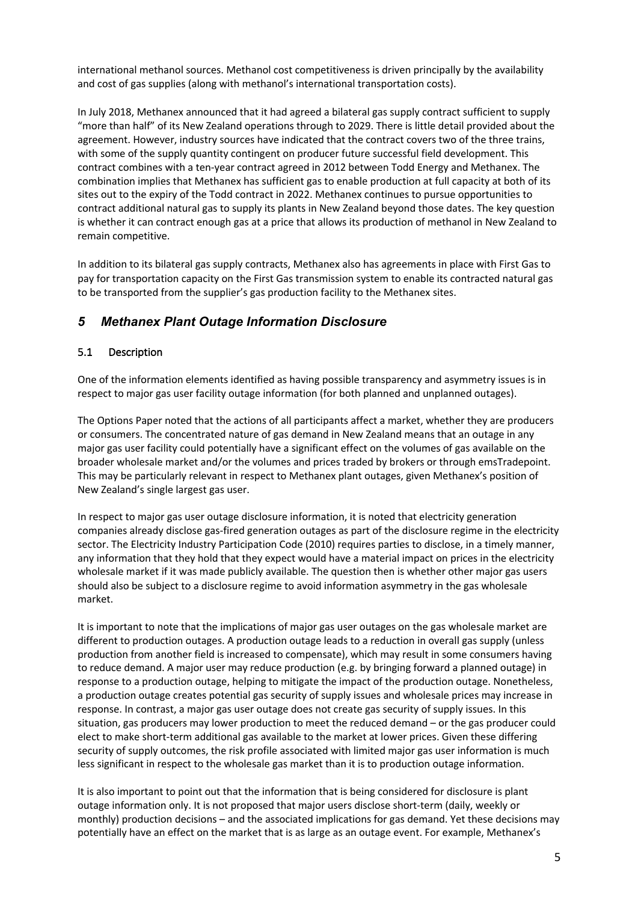international methanol sources. Methanol cost competitiveness is driven principally by the availability and cost of gas supplies (along with methanol's international transportation costs).

In July 2018, Methanex announced that it had agreed a bilateral gas supply contract sufficient to supply "more than half" of its New Zealand operations through to 2029. There is little detail provided about the agreement. However, industry sources have indicated that the contract covers two of the three trains, with some of the supply quantity contingent on producer future successful field development. This contract combines with a ten-year contract agreed in 2012 between Todd Energy and Methanex. The combination implies that Methanex has sufficient gas to enable production at full capacity at both of its sites out to the expiry of the Todd contract in 2022. Methanex continues to pursue opportunities to contract additional natural gas to supply its plants in New Zealand beyond those dates. The key question is whether it can contract enough gas at a price that allows its production of methanol in New Zealand to remain competitive.

In addition to its bilateral gas supply contracts, Methanex also has agreements in place with First Gas to pay for transportation capacity on the First Gas transmission system to enable its contracted natural gas to be transported from the supplier's gas production facility to the Methanex sites.

## *5 Methanex Plant Outage Information Disclosure*

#### 5.1 Description

One of the information elements identified as having possible transparency and asymmetry issues is in respect to major gas user facility outage information (for both planned and unplanned outages).

The Options Paper noted that the actions of all participants affect a market, whether they are producers or consumers. The concentrated nature of gas demand in New Zealand means that an outage in any major gas user facility could potentially have a significant effect on the volumes of gas available on the broader wholesale market and/or the volumes and prices traded by brokers or through emsTradepoint. This may be particularly relevant in respect to Methanex plant outages, given Methanex's position of New Zealand's single largest gas user.

In respect to major gas user outage disclosure information, it is noted that electricity generation companies already disclose gas-fired generation outages as part of the disclosure regime in the electricity sector. The Electricity Industry Participation Code (2010) requires parties to disclose, in a timely manner, any information that they hold that they expect would have a material impact on prices in the electricity wholesale market if it was made publicly available. The question then is whether other major gas users should also be subject to a disclosure regime to avoid information asymmetry in the gas wholesale market.

It is important to note that the implications of major gas user outages on the gas wholesale market are different to production outages. A production outage leads to a reduction in overall gas supply (unless production from another field is increased to compensate), which may result in some consumers having to reduce demand. A major user may reduce production (e.g. by bringing forward a planned outage) in response to a production outage, helping to mitigate the impact of the production outage. Nonetheless, a production outage creates potential gas security of supply issues and wholesale prices may increase in response. In contrast, a major gas user outage does not create gas security of supply issues. In this situation, gas producers may lower production to meet the reduced demand – or the gas producer could elect to make short-term additional gas available to the market at lower prices. Given these differing security of supply outcomes, the risk profile associated with limited major gas user information is much less significant in respect to the wholesale gas market than it is to production outage information.

It is also important to point out that the information that is being considered for disclosure is plant outage information only. It is not proposed that major users disclose short-term (daily, weekly or monthly) production decisions – and the associated implications for gas demand. Yet these decisions may potentially have an effect on the market that is as large as an outage event. For example, Methanex's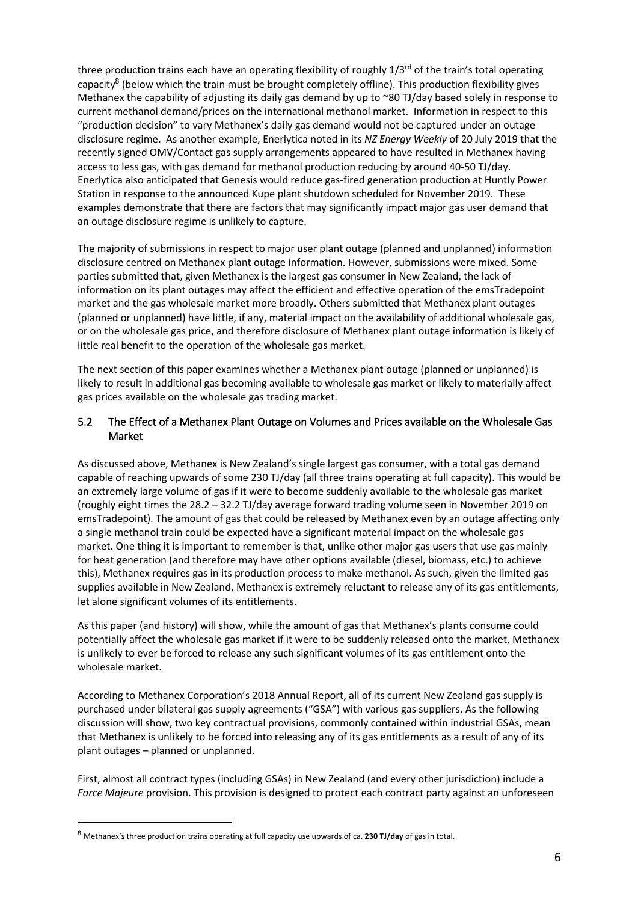three production trains each have an operating flexibility of roughly  $1/3^{rd}$  of the train's total operating capacity<sup>8</sup> (below which the train must be brought completely offline). This production flexibility gives Methanex the capability of adjusting its daily gas demand by up to ~80 TJ/day based solely in response to current methanol demand/prices on the international methanol market. Information in respect to this "production decision" to vary Methanex's daily gas demand would not be captured under an outage disclosure regime. As another example, Enerlytica noted in its *NZ Energy Weekly* of 20 July 2019 that the recently signed OMV/Contact gas supply arrangements appeared to have resulted in Methanex having access to less gas, with gas demand for methanol production reducing by around 40-50 TJ/day. Enerlytica also anticipated that Genesis would reduce gas-fired generation production at Huntly Power Station in response to the announced Kupe plant shutdown scheduled for November 2019. These examples demonstrate that there are factors that may significantly impact major gas user demand that an outage disclosure regime is unlikely to capture.

The majority of submissions in respect to major user plant outage (planned and unplanned) information disclosure centred on Methanex plant outage information. However, submissions were mixed. Some parties submitted that, given Methanex is the largest gas consumer in New Zealand, the lack of information on its plant outages may affect the efficient and effective operation of the emsTradepoint market and the gas wholesale market more broadly. Others submitted that Methanex plant outages (planned or unplanned) have little, if any, material impact on the availability of additional wholesale gas, or on the wholesale gas price, and therefore disclosure of Methanex plant outage information is likely of little real benefit to the operation of the wholesale gas market.

The next section of this paper examines whether a Methanex plant outage (planned or unplanned) is likely to result in additional gas becoming available to wholesale gas market or likely to materially affect gas prices available on the wholesale gas trading market.

#### 5.2 The Effect of a Methanex Plant Outage on Volumes and Prices available on the Wholesale Gas Market

As discussed above, Methanex is New Zealand's single largest gas consumer, with a total gas demand capable of reaching upwards of some 230 TJ/day (all three trains operating at full capacity). This would be an extremely large volume of gas if it were to become suddenly available to the wholesale gas market (roughly eight times the 28.2 – 32.2 TJ/day average forward trading volume seen in November 2019 on emsTradepoint). The amount of gas that could be released by Methanex even by an outage affecting only a single methanol train could be expected have a significant material impact on the wholesale gas market. One thing it is important to remember is that, unlike other major gas users that use gas mainly for heat generation (and therefore may have other options available (diesel, biomass, etc.) to achieve this), Methanex requires gas in its production process to make methanol. As such, given the limited gas supplies available in New Zealand, Methanex is extremely reluctant to release any of its gas entitlements, let alone significant volumes of its entitlements.

As this paper (and history) will show, while the amount of gas that Methanex's plants consume could potentially affect the wholesale gas market if it were to be suddenly released onto the market, Methanex is unlikely to ever be forced to release any such significant volumes of its gas entitlement onto the wholesale market.

According to Methanex Corporation's 2018 Annual Report, all of its current New Zealand gas supply is purchased under bilateral gas supply agreements ("GSA") with various gas suppliers. As the following discussion will show, two key contractual provisions, commonly contained within industrial GSAs, mean that Methanex is unlikely to be forced into releasing any of its gas entitlements as a result of any of its plant outages – planned or unplanned.

First, almost all contract types (including GSAs) in New Zealand (and every other jurisdiction) include a *Force Majeure* provision. This provision is designed to protect each contract party against an unforeseen

<sup>8</sup> Methanex's three production trains operating at full capacity use upwards of ca. **230 TJ/day** of gas in total.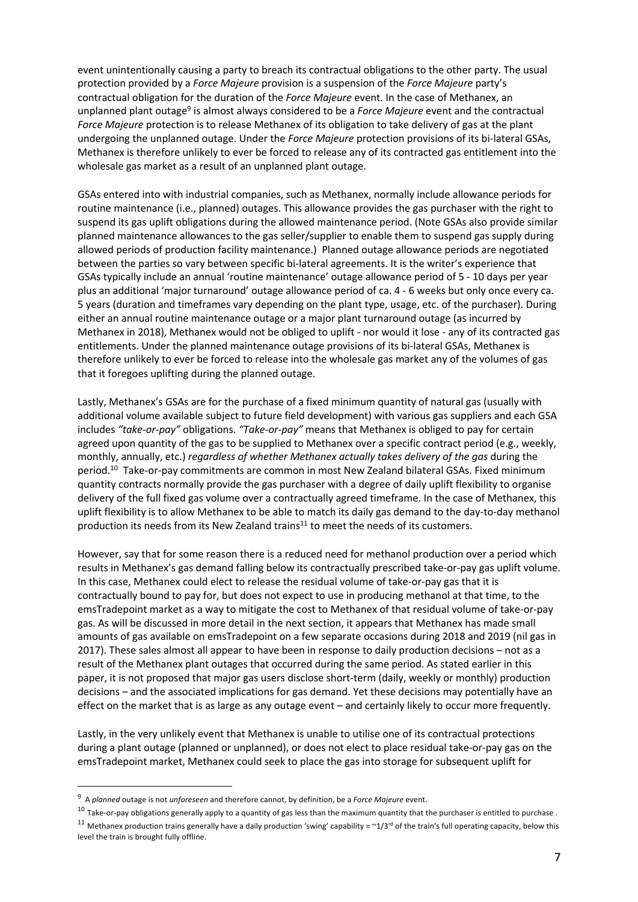event unintentionally causing a party to breach its contractual obligations to the other party. The usual protection provided by a *Force Majeure* provision is a suspension of the *Force Majeure* party's contractual obligation for the duration of the *Force Majeure* event. In the case of Methanex, an unplanned plant outage9 is almost always considered to be a *Force Majeure* event and the contractual *Force Majeure* protection is to release Methanex of its obligation to take delivery of gas at the plant undergoing the unplanned outage. Under the *Force Majeure* protection provisions of its bi-lateral GSAs, Methanex is therefore unlikely to ever be forced to release any of its contracted gas entitlement into the wholesale gas market as a result of an unplanned plant outage.

GSAs entered into with industrial companies, such as Methanex, normally include allowance periods for routine maintenance (i.e., planned) outages. This allowance provides the gas purchaser with the right to suspend its gas uplift obligations during the allowed maintenance period. (Note GSAs also provide similar planned maintenance allowances to the gas seller/supplier to enable them to suspend gas supply during allowed periods of production facility maintenance.) Planned outage allowance periods are negotiated between the parties so vary between specific bi-lateral agreements. It is the writer's experience that GSAs typically include an annual 'routine maintenance' outage allowance period of 5 - 10 days per year plus an additional 'major turnaround' outage allowance period of ca. 4 - 6 weeks but only once every ca. 5 years (duration and timeframes vary depending on the plant type, usage, etc. of the purchaser). During either an annual routine maintenance outage or a major plant turnaround outage (as incurred by Methanex in 2018), Methanex would not be obliged to uplift - nor would it lose - any of its contracted gas entitlements. Under the planned maintenance outage provisions of its bi-lateral GSAs, Methanex is therefore unlikely to ever be forced to release into the wholesale gas market any of the volumes of gas that it foregoes uplifting during the planned outage.

Lastly, Methanex's GSAs are for the purchase of a fixed minimum quantity of natural gas (usually with additional volume available subject to future field development) with various gas suppliers and each GSA includes *"take-or-pay"* obligations. *"Take-or-pay"* means that Methanex is obliged to pay for certain agreed upon quantity of the gas to be supplied to Methanex over a specific contract period (e.g., weekly, monthly, annually, etc.) *regardless of whether Methanex actually takes delivery of the gas* during the period. <sup>10</sup> Take-or-pay commitments are common in most New Zealand bilateral GSAs. Fixed minimum quantity contracts normally provide the gas purchaser with a degree of daily uplift flexibility to organise delivery of the full fixed gas volume over a contractually agreed timeframe. In the case of Methanex, this uplift flexibility is to allow Methanex to be able to match its daily gas demand to the day-to-day methanol production its needs from its New Zealand trains<sup>11</sup> to meet the needs of its customers.

However, say that for some reason there is a reduced need for methanol production over a period which results in Methanex's gas demand falling below its contractually prescribed take-or-pay gas uplift volume. In this case, Methanex could elect to release the residual volume of take-or-pay gas that it is contractually bound to pay for, but does not expect to use in producing methanol at that time, to the emsTradepoint market as a way to mitigate the cost to Methanex of that residual volume of take-or-pay gas. As will be discussed in more detail in the next section, it appears that Methanex has made small amounts of gas available on emsTradepoint on a few separate occasions during 2018 and 2019 (nil gas in 2017). These sales almost all appear to have been in response to daily production decisions – not as a result of the Methanex plant outages that occurred during the same period. As stated earlier in this paper, it is not proposed that major gas users disclose short-term (daily, weekly or monthly) production decisions – and the associated implications for gas demand. Yet these decisions may potentially have an effect on the market that is as large as any outage event – and certainly likely to occur more frequently.

Lastly, in the very unlikely event that Methanex is unable to utilise one of its contractual protections during a plant outage (planned or unplanned), or does not elect to place residual take-or-pay gas on the emsTradepoint market, Methanex could seek to place the gas into storage for subsequent uplift for

<sup>9</sup> A *planned* outage is not *unforeseen* and therefore cannot, by definition, be a *Force Majeure* event.

 $10$  Take-or-pay obligations generally apply to a quantity of gas less than the maximum quantity that the purchaser is entitled to purchase.

<sup>&</sup>lt;sup>11</sup> Methanex production trains generally have a daily production 'swing' capability =  $\sim$ 1/3<sup>rd</sup> of the train's full operating capacity, below this level the train is brought fully offline.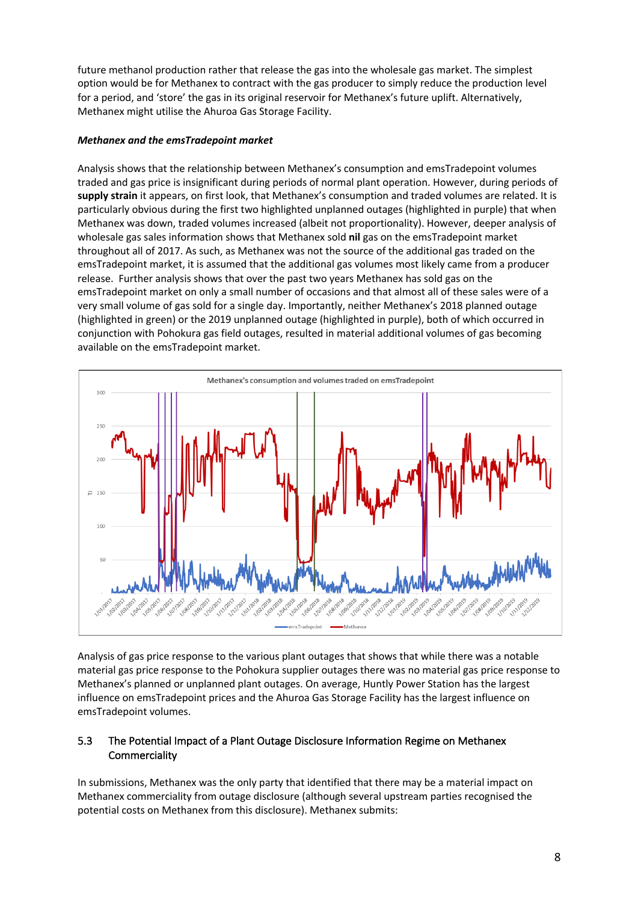future methanol production rather that release the gas into the wholesale gas market. The simplest option would be for Methanex to contract with the gas producer to simply reduce the production level for a period, and 'store' the gas in its original reservoir for Methanex's future uplift. Alternatively, Methanex might utilise the Ahuroa Gas Storage Facility.

#### *Methanex and the emsTradepoint market*

Analysis shows that the relationship between Methanex's consumption and emsTradepoint volumes traded and gas price is insignificant during periods of normal plant operation. However, during periods of **supply strain** it appears, on first look, that Methanex's consumption and traded volumes are related. It is particularly obvious during the first two highlighted unplanned outages (highlighted in purple) that when Methanex was down, traded volumes increased (albeit not proportionality). However, deeper analysis of wholesale gas sales information shows that Methanex sold **nil** gas on the emsTradepoint market throughout all of 2017. As such, as Methanex was not the source of the additional gas traded on the emsTradepoint market, it is assumed that the additional gas volumes most likely came from a producer release. Further analysis shows that over the past two years Methanex has sold gas on the emsTradepoint market on only a small number of occasions and that almost all of these sales were of a very small volume of gas sold for a single day. Importantly, neither Methanex's 2018 planned outage (highlighted in green) or the 2019 unplanned outage (highlighted in purple), both of which occurred in conjunction with Pohokura gas field outages, resulted in material additional volumes of gas becoming available on the emsTradepoint market.



Analysis of gas price response to the various plant outages that shows that while there was a notable material gas price response to the Pohokura supplier outages there was no material gas price response to Methanex's planned or unplanned plant outages. On average, Huntly Power Station has the largest influence on emsTradepoint prices and the Ahuroa Gas Storage Facility has the largest influence on emsTradepoint volumes.

#### 5.3 The Potential Impact of a Plant Outage Disclosure Information Regime on Methanex **Commerciality**

In submissions, Methanex was the only party that identified that there may be a material impact on Methanex commerciality from outage disclosure (although several upstream parties recognised the potential costs on Methanex from this disclosure). Methanex submits: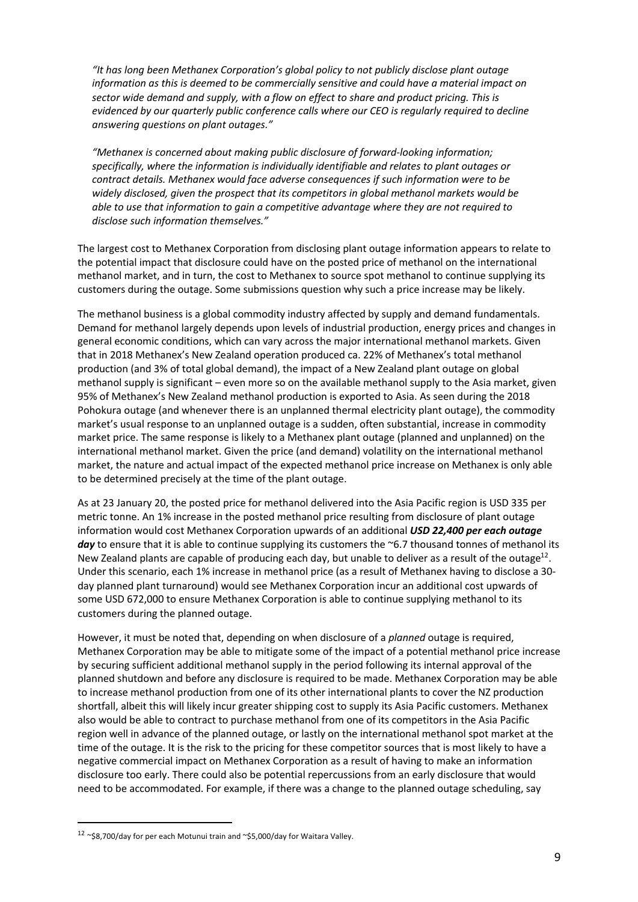*"It has long been Methanex Corporation's global policy to not publicly disclose plant outage information as this is deemed to be commercially sensitive and could have a material impact on sector wide demand and supply, with a flow on effect to share and product pricing. This is evidenced by our quarterly public conference calls where our CEO is regularly required to decline answering questions on plant outages."*

*"Methanex is concerned about making public disclosure of forward-looking information; specifically, where the information is individually identifiable and relates to plant outages or contract details. Methanex would face adverse consequences if such information were to be widely disclosed, given the prospect that its competitors in global methanol markets would be able to use that information to gain a competitive advantage where they are not required to disclose such information themselves."*

The largest cost to Methanex Corporation from disclosing plant outage information appears to relate to the potential impact that disclosure could have on the posted price of methanol on the international methanol market, and in turn, the cost to Methanex to source spot methanol to continue supplying its customers during the outage. Some submissions question why such a price increase may be likely.

The methanol business is a global commodity industry affected by supply and demand fundamentals. Demand for methanol largely depends upon levels of industrial production, energy prices and changes in general economic conditions, which can vary across the major international methanol markets. Given that in 2018 Methanex's New Zealand operation produced ca. 22% of Methanex's total methanol production (and 3% of total global demand), the impact of a New Zealand plant outage on global methanol supply is significant – even more so on the available methanol supply to the Asia market, given 95% of Methanex's New Zealand methanol production is exported to Asia. As seen during the 2018 Pohokura outage (and whenever there is an unplanned thermal electricity plant outage), the commodity market's usual response to an unplanned outage is a sudden, often substantial, increase in commodity market price. The same response is likely to a Methanex plant outage (planned and unplanned) on the international methanol market. Given the price (and demand) volatility on the international methanol market, the nature and actual impact of the expected methanol price increase on Methanex is only able to be determined precisely at the time of the plant outage.

As at 23 January 20, the posted price for methanol delivered into the Asia Pacific region is USD 335 per metric tonne. An 1% increase in the posted methanol price resulting from disclosure of plant outage information would cost Methanex Corporation upwards of an additional *USD 22,400 per each outage day* to ensure that it is able to continue supplying its customers the ~6.7 thousand tonnes of methanol its New Zealand plants are capable of producing each day, but unable to deliver as a result of the outage<sup>12</sup>. Under this scenario, each 1% increase in methanol price (as a result of Methanex having to disclose a 30 day planned plant turnaround) would see Methanex Corporation incur an additional cost upwards of some USD 672,000 to ensure Methanex Corporation is able to continue supplying methanol to its customers during the planned outage.

However, it must be noted that, depending on when disclosure of a *planned* outage is required, Methanex Corporation may be able to mitigate some of the impact of a potential methanol price increase by securing sufficient additional methanol supply in the period following its internal approval of the planned shutdown and before any disclosure is required to be made. Methanex Corporation may be able to increase methanol production from one of its other international plants to cover the NZ production shortfall, albeit this will likely incur greater shipping cost to supply its Asia Pacific customers. Methanex also would be able to contract to purchase methanol from one of its competitors in the Asia Pacific region well in advance of the planned outage, or lastly on the international methanol spot market at the time of the outage. It is the risk to the pricing for these competitor sources that is most likely to have a negative commercial impact on Methanex Corporation as a result of having to make an information disclosure too early. There could also be potential repercussions from an early disclosure that would need to be accommodated. For example, if there was a change to the planned outage scheduling, say

 $12$  ~\$8,700/dav for per each Motunui train and ~\$5,000/day for Waitara Valley.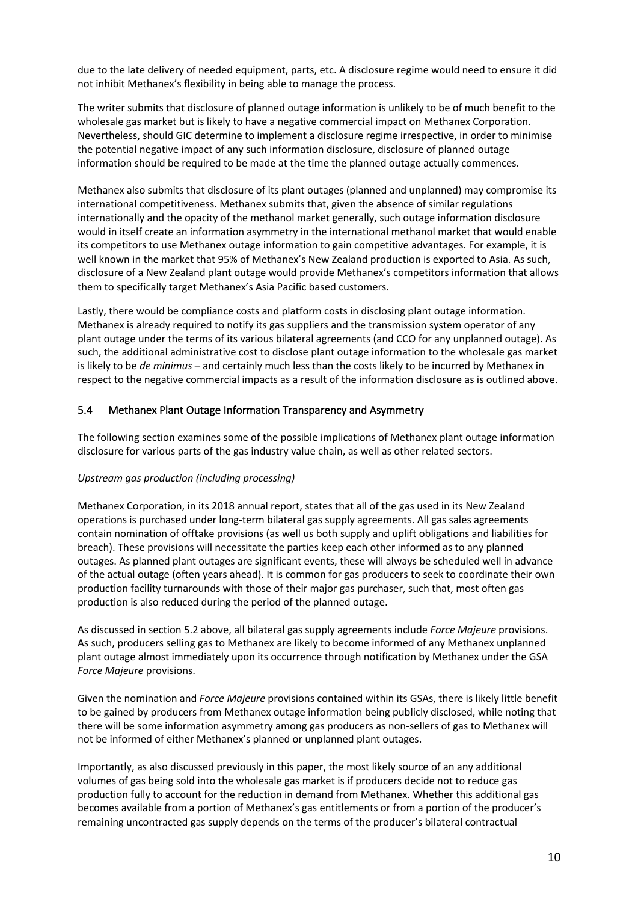due to the late delivery of needed equipment, parts, etc. A disclosure regime would need to ensure it did not inhibit Methanex's flexibility in being able to manage the process.

The writer submits that disclosure of planned outage information is unlikely to be of much benefit to the wholesale gas market but is likely to have a negative commercial impact on Methanex Corporation. Nevertheless, should GIC determine to implement a disclosure regime irrespective, in order to minimise the potential negative impact of any such information disclosure, disclosure of planned outage information should be required to be made at the time the planned outage actually commences.

Methanex also submits that disclosure of its plant outages (planned and unplanned) may compromise its international competitiveness. Methanex submits that, given the absence of similar regulations internationally and the opacity of the methanol market generally, such outage information disclosure would in itself create an information asymmetry in the international methanol market that would enable its competitors to use Methanex outage information to gain competitive advantages. For example, it is well known in the market that 95% of Methanex's New Zealand production is exported to Asia. As such, disclosure of a New Zealand plant outage would provide Methanex's competitors information that allows them to specifically target Methanex's Asia Pacific based customers.

Lastly, there would be compliance costs and platform costs in disclosing plant outage information. Methanex is already required to notify its gas suppliers and the transmission system operator of any plant outage under the terms of its various bilateral agreements (and CCO for any unplanned outage). As such, the additional administrative cost to disclose plant outage information to the wholesale gas market is likely to be *de minimus* – and certainly much less than the costs likely to be incurred by Methanex in respect to the negative commercial impacts as a result of the information disclosure as is outlined above.

#### 5.4 Methanex Plant Outage Information Transparency and Asymmetry

The following section examines some of the possible implications of Methanex plant outage information disclosure for various parts of the gas industry value chain, as well as other related sectors.

#### *Upstream gas production (including processing)*

Methanex Corporation, in its 2018 annual report, states that all of the gas used in its New Zealand operations is purchased under long-term bilateral gas supply agreements. All gas sales agreements contain nomination of offtake provisions (as well us both supply and uplift obligations and liabilities for breach). These provisions will necessitate the parties keep each other informed as to any planned outages. As planned plant outages are significant events, these will always be scheduled well in advance of the actual outage (often years ahead). It is common for gas producers to seek to coordinate their own production facility turnarounds with those of their major gas purchaser, such that, most often gas production is also reduced during the period of the planned outage.

As discussed in section 5.2 above, all bilateral gas supply agreements include *Force Majeure* provisions. As such, producers selling gas to Methanex are likely to become informed of any Methanex unplanned plant outage almost immediately upon its occurrence through notification by Methanex under the GSA *Force Majeure* provisions.

Given the nomination and *Force Majeure* provisions contained within its GSAs, there is likely little benefit to be gained by producers from Methanex outage information being publicly disclosed, while noting that there will be some information asymmetry among gas producers as non-sellers of gas to Methanex will not be informed of either Methanex's planned or unplanned plant outages.

Importantly, as also discussed previously in this paper, the most likely source of an any additional volumes of gas being sold into the wholesale gas market is if producers decide not to reduce gas production fully to account for the reduction in demand from Methanex. Whether this additional gas becomes available from a portion of Methanex's gas entitlements or from a portion of the producer's remaining uncontracted gas supply depends on the terms of the producer's bilateral contractual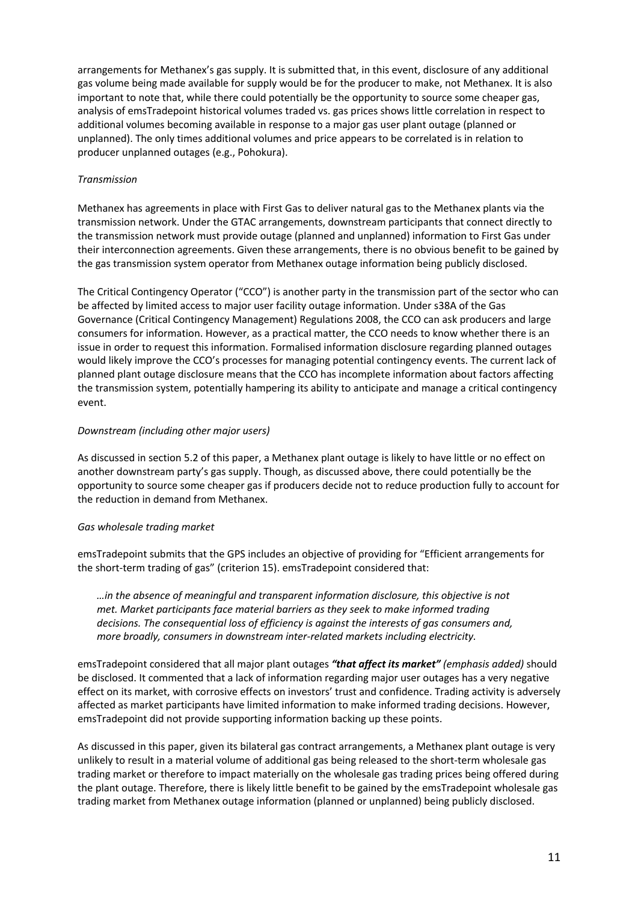arrangements for Methanex's gas supply. It is submitted that, in this event, disclosure of any additional gas volume being made available for supply would be for the producer to make, not Methanex. It is also important to note that, while there could potentially be the opportunity to source some cheaper gas, analysis of emsTradepoint historical volumes traded vs. gas prices shows little correlation in respect to additional volumes becoming available in response to a major gas user plant outage (planned or unplanned). The only times additional volumes and price appears to be correlated is in relation to producer unplanned outages (e.g., Pohokura).

#### *Transmission*

Methanex has agreements in place with First Gas to deliver natural gas to the Methanex plants via the transmission network. Under the GTAC arrangements, downstream participants that connect directly to the transmission network must provide outage (planned and unplanned) information to First Gas under their interconnection agreements. Given these arrangements, there is no obvious benefit to be gained by the gas transmission system operator from Methanex outage information being publicly disclosed.

The Critical Contingency Operator ("CCO") is another party in the transmission part of the sector who can be affected by limited access to major user facility outage information. Under s38A of the Gas Governance (Critical Contingency Management) Regulations 2008, the CCO can ask producers and large consumers for information. However, as a practical matter, the CCO needs to know whether there is an issue in order to request this information. Formalised information disclosure regarding planned outages would likely improve the CCO's processes for managing potential contingency events. The current lack of planned plant outage disclosure means that the CCO has incomplete information about factors affecting the transmission system, potentially hampering its ability to anticipate and manage a critical contingency event.

#### *Downstream (including other major users)*

As discussed in section 5.2 of this paper, a Methanex plant outage is likely to have little or no effect on another downstream party's gas supply. Though, as discussed above, there could potentially be the opportunity to source some cheaper gas if producers decide not to reduce production fully to account for the reduction in demand from Methanex.

#### *Gas wholesale trading market*

emsTradepoint submits that the GPS includes an objective of providing for "Efficient arrangements for the short-term trading of gas" (criterion 15). emsTradepoint considered that:

*…in the absence of meaningful and transparent information disclosure, this objective is not met. Market participants face material barriers as they seek to make informed trading decisions. The consequential loss of efficiency is against the interests of gas consumers and, more broadly, consumers in downstream inter-related markets including electricity.* 

emsTradepoint considered that all major plant outages *"that affect its market" (emphasis added)* should be disclosed. It commented that a lack of information regarding major user outages has a very negative effect on its market, with corrosive effects on investors' trust and confidence. Trading activity is adversely affected as market participants have limited information to make informed trading decisions. However, emsTradepoint did not provide supporting information backing up these points.

As discussed in this paper, given its bilateral gas contract arrangements, a Methanex plant outage is very unlikely to result in a material volume of additional gas being released to the short-term wholesale gas trading market or therefore to impact materially on the wholesale gas trading prices being offered during the plant outage. Therefore, there is likely little benefit to be gained by the emsTradepoint wholesale gas trading market from Methanex outage information (planned or unplanned) being publicly disclosed.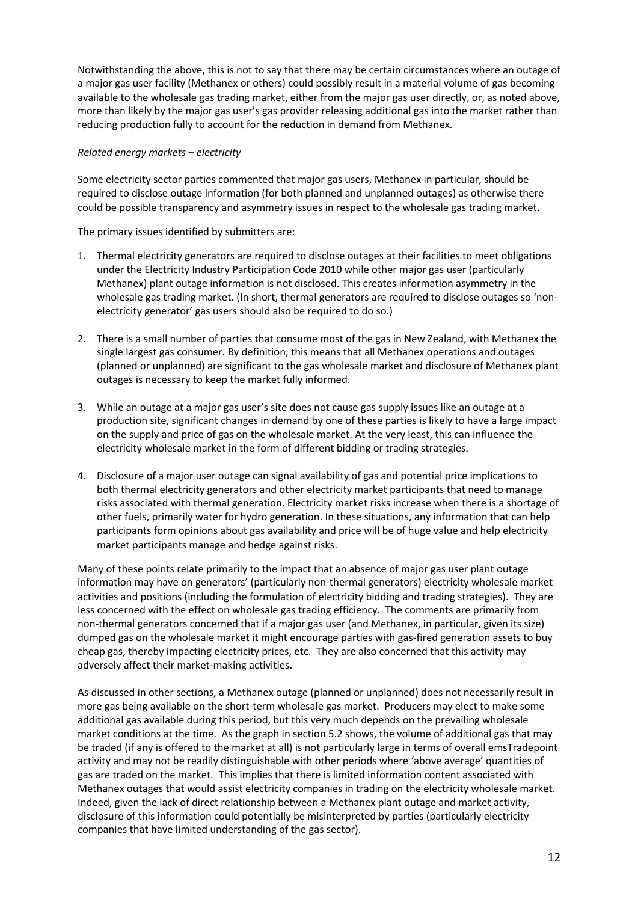Notwithstanding the above, this is not to say that there may be certain circumstances where an outage of a major gas user facility (Methanex or others) could possibly result in a material volume of gas becoming available to the wholesale gas trading market, either from the major gas user directly, or, as noted above, more than likely by the major gas user's gas provider releasing additional gas into the market rather than reducing production fully to account for the reduction in demand from Methanex.

#### *Related energy markets – electricity*

Some electricity sector parties commented that major gas users, Methanex in particular, should be required to disclose outage information (for both planned and unplanned outages) as otherwise there could be possible transparency and asymmetry issues in respect to the wholesale gas trading market.

The primary issues identified by submitters are:

- 1. Thermal electricity generators are required to disclose outages at their facilities to meet obligations under the Electricity Industry Participation Code 2010 while other major gas user (particularly Methanex) plant outage information is not disclosed. This creates information asymmetry in the wholesale gas trading market. (In short, thermal generators are required to disclose outages so 'nonelectricity generator' gas users should also be required to do so.)
- 2. There is a small number of parties that consume most of the gas in New Zealand, with Methanex the single largest gas consumer. By definition, this means that all Methanex operations and outages (planned or unplanned) are significant to the gas wholesale market and disclosure of Methanex plant outages is necessary to keep the market fully informed.
- 3. While an outage at a major gas user's site does not cause gas supply issues like an outage at a production site, significant changes in demand by one of these parties is likely to have a large impact on the supply and price of gas on the wholesale market. At the very least, this can influence the electricity wholesale market in the form of different bidding or trading strategies.
- 4. Disclosure of a major user outage can signal availability of gas and potential price implications to both thermal electricity generators and other electricity market participants that need to manage risks associated with thermal generation. Electricity market risks increase when there is a shortage of other fuels, primarily water for hydro generation. In these situations, any information that can help participants form opinions about gas availability and price will be of huge value and help electricity market participants manage and hedge against risks.

Many of these points relate primarily to the impact that an absence of major gas user plant outage information may have on generators' (particularly non-thermal generators) electricity wholesale market activities and positions (including the formulation of electricity bidding and trading strategies). They are less concerned with the effect on wholesale gas trading efficiency. The comments are primarily from non-thermal generators concerned that if a major gas user (and Methanex, in particular, given its size) dumped gas on the wholesale market it might encourage parties with gas-fired generation assets to buy cheap gas, thereby impacting electricity prices, etc. They are also concerned that this activity may adversely affect their market-making activities.

As discussed in other sections, a Methanex outage (planned or unplanned) does not necessarily result in more gas being available on the short-term wholesale gas market. Producers may elect to make some additional gas available during this period, but this very much depends on the prevailing wholesale market conditions at the time. As the graph in section 5.2 shows, the volume of additional gas that may be traded (if any is offered to the market at all) is not particularly large in terms of overall emsTradepoint activity and may not be readily distinguishable with other periods where 'above average' quantities of gas are traded on the market. This implies that there is limited information content associated with Methanex outages that would assist electricity companies in trading on the electricity wholesale market. Indeed, given the lack of direct relationship between a Methanex plant outage and market activity, disclosure of this information could potentially be misinterpreted by parties (particularly electricity companies that have limited understanding of the gas sector).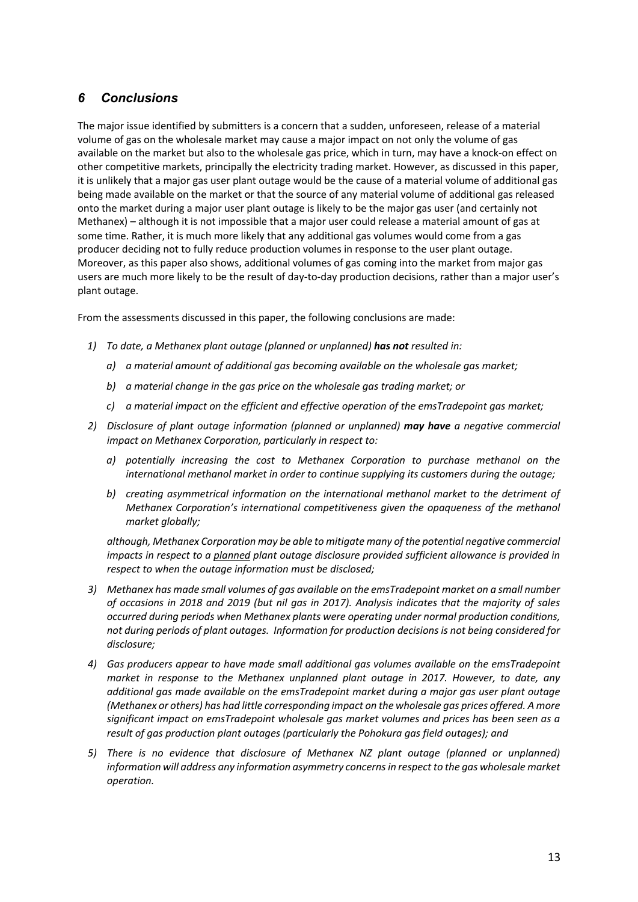## *6 Conclusions*

The major issue identified by submitters is a concern that a sudden, unforeseen, release of a material volume of gas on the wholesale market may cause a major impact on not only the volume of gas available on the market but also to the wholesale gas price, which in turn, may have a knock-on effect on other competitive markets, principally the electricity trading market. However, as discussed in this paper, it is unlikely that a major gas user plant outage would be the cause of a material volume of additional gas being made available on the market or that the source of any material volume of additional gas released onto the market during a major user plant outage is likely to be the major gas user (and certainly not Methanex) – although it is not impossible that a major user could release a material amount of gas at some time. Rather, it is much more likely that any additional gas volumes would come from a gas producer deciding not to fully reduce production volumes in response to the user plant outage. Moreover, as this paper also shows, additional volumes of gas coming into the market from major gas users are much more likely to be the result of day-to-day production decisions, rather than a major user's plant outage.

From the assessments discussed in this paper, the following conclusions are made:

- *1) To date, a Methanex plant outage (planned or unplanned) has not resulted in:*
	- *a) a material amount of additional gas becoming available on the wholesale gas market;*
	- *b) a material change in the gas price on the wholesale gas trading market; or*
	- *c) a material impact on the efficient and effective operation of the emsTradepoint gas market;*
- *2) Disclosure of plant outage information (planned or unplanned) may have a negative commercial impact on Methanex Corporation, particularly in respect to:* 
	- *a) potentially increasing the cost to Methanex Corporation to purchase methanol on the international methanol market in order to continue supplying its customers during the outage;*
	- *b) creating asymmetrical information on the international methanol market to the detriment of Methanex Corporation's international competitiveness given the opaqueness of the methanol market globally;*

*although, Methanex Corporation may be able to mitigate many of the potential negative commercial impacts in respect to a planned plant outage disclosure provided sufficient allowance is provided in respect to when the outage information must be disclosed;*

- *3) Methanex has made small volumes of gas available on the emsTradepoint market on a small number of occasions in 2018 and 2019 (but nil gas in 2017). Analysis indicates that the majority of sales occurred during periods when Methanex plants were operating under normal production conditions, not during periods of plant outages. Information for production decisions is not being considered for disclosure;*
- *4) Gas producers appear to have made small additional gas volumes available on the emsTradepoint market in response to the Methanex unplanned plant outage in 2017. However, to date, any additional gas made available on the emsTradepoint market during a major gas user plant outage (Methanex or others) has had little corresponding impact on the wholesale gas prices offered. A more significant impact on emsTradepoint wholesale gas market volumes and prices has been seen as a result of gas production plant outages (particularly the Pohokura gas field outages); and*
- *5) There is no evidence that disclosure of Methanex NZ plant outage (planned or unplanned) information will address any information asymmetry concerns in respect to the gas wholesale market operation.*